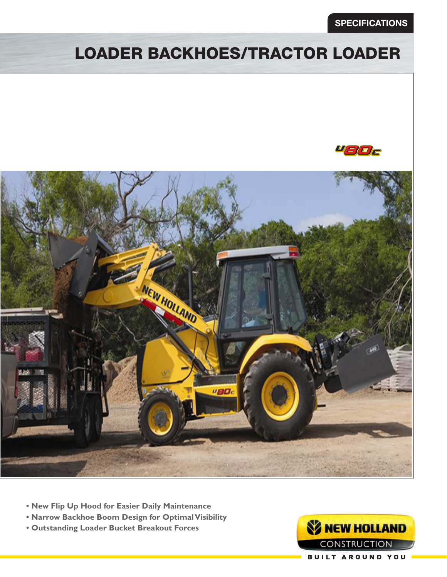### **SPECIFICATIONS**

# LOADER BACKHOES/TRACTOR LOADER





- **New Flip Up Hood for Easier Daily Maintenance**
- **Narrow Backhoe Boom Design for Optimal Visibility**
- **Outstanding Loader Bucket Breakout Forces**

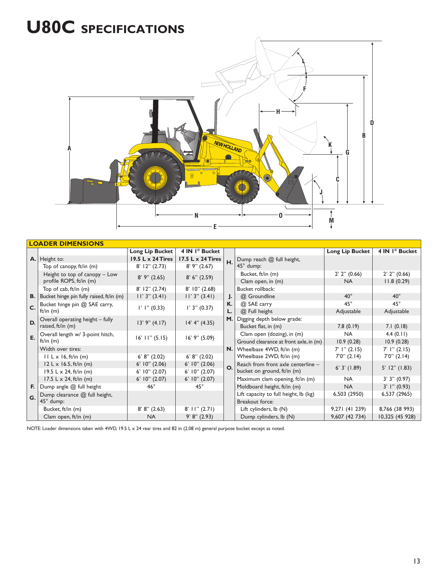# **U80C SPECIFICATIONS**



| <b>LOADER DIMENSIONS</b> |                                          |                            |                            |    |                                        |                             |                            |
|--------------------------|------------------------------------------|----------------------------|----------------------------|----|----------------------------------------|-----------------------------|----------------------------|
|                          |                                          | Long Lip Bucket            | 4 IN 1 <sup>®</sup> Bucket |    |                                        | Long Lip Bucket             | 4 IN 1 <sup>®</sup> Bucket |
|                          | A. Height to:                            | 19.5 L x 24 Tires          | 17.5 L x 24 Tires          | H. | Dump reach @ full height,              |                             |                            |
|                          | Top of canopy, ft/in (m)                 | $8'$ 12" (2.73)            | $8'$ 9" (2.67)             |    | 45° dump:                              |                             |                            |
|                          | Height to top of canopy - Low            | $8'$ 9" (2.65)             | 8' 6'' (2.59)              |    | Bucket, ft/in (m)                      | $2'$ $2''$ $(0.66)$         | $2'$ $2''$ $(0.66)$        |
|                          | profile ROPS, ft/in (m)                  |                            |                            |    | Clam open, in (m)                      | <b>NA</b>                   | 11.8(0.29)                 |
|                          | Top of cab, ft/in (m)                    | $8'$ 12" (2.74)            | $8'$ 10" (2.68)            |    | Bucket rollback:                       |                             |                            |
| В.                       | Bucket hinge pin fully raised, ft/in (m) | $11'$ 3" (3.41)            | $11'$ 3" (3.41)            | J. | @ Groundline                           | $40^{\circ}$                | $40^{\circ}$               |
| C.                       | Bucket hinge pin @ SAE carry,            | $\vert$ ' $\vert$ " (0.33) | $1'$ 3" (0.37)             | К. | @ SAE carry                            | $45^{\circ}$                | $45^{\circ}$               |
|                          | ft/in $(m)$                              |                            |                            | L. | @ Full height                          | Adjustable                  | Adjustable                 |
| D.                       | Overall operating height - fully         | $13'$ 9" $(4.17)$          | 14' 4'' (4.35)             | M. | Digging depth below grade:             |                             |                            |
|                          | raised, ft/in (m)                        |                            |                            |    | Bucket flat, in (m)                    | 7.8(0.19)                   | 7.1(0.18)                  |
| E.                       | Overall length w/ 3-point hitch,         | $16'$ $11''$ $(5.15)$      | $16'$ 9" (5.09)            |    | Clam open (dozing), in (m)             | <b>NA</b>                   | 4.4(0.11)                  |
|                          | ft/in $(m)$                              |                            |                            |    | Ground clearance at front axle, in (m) | 10.9(0.28)                  | 10.9(0.28)                 |
|                          | Width over tires:                        |                            |                            | N. | Wheelbase 4WD, ft/in (m)               | $7'$ $\mid$ $\mid$ $(2.15)$ | 7' 1'' (2.15)              |
|                          | $II L \times 16$ , ft/in (m)             | 6' 8'' (2.02)              | 6' 8'' (2.02)              |    | Wheelbase 2WD, ft/in (m)               | $7'0''$ (2.14)              | 7'0'' (2.14)               |
|                          | $12 L \times 16.5$ , ft/in (m)           | $6'$ 10" (2.06)            | $6'$ $10''$ $(2.06)$       | O. | Reach from front axle centerline -     | $6'$ 3' $(1.89)$            | $5'$ 12" (1.83)            |
|                          | 19.5 L $\times$ 24, ft/in (m)            | $6'$ 10" $(2.07)$          | $6'$ $10''$ $(2.07)$       |    | bucket on ground, ft/in (m)            |                             |                            |
|                          | 17.5 L $\times$ 24, ft/in (m)            | $6'$ 10" (2.07)            | $6'$ $10''$ $(2.07)$       |    | Maximum clam opening, ft/in (m)        | <b>NA</b>                   | 3'3''(0.97)                |
| F.                       | Dump angle @ full height                 | $46^{\circ}$               | $45^{\circ}$               |    | Moldboard height, ft/in (m)            | <b>NA</b>                   | $3'$ l" (0.93)             |
| G.                       | Dump clearance @ full height,            |                            |                            |    | Lift capacity to full height, lb (kg)  | 6,503 (2950)                | 6,537 (2965)               |
|                          | 45° dump:                                |                            |                            |    | Breakout force:                        |                             |                            |
|                          | Bucket, ft/in (m)                        | 8' 8'' (2.63)              | $8'$ II" $(2.71)$          |    | Lift cylinders, lb (N)                 | 9,271 (41 239)              | 8,766 (38 993)             |
|                          | Clam open, ft/in (m)                     | <b>NA</b>                  | 9' 8'' (2.93)              |    | Dump cylinders, lb (N)                 | 9,607 (42 734)              | 10,325 (45 928)            |

NOTE: Loader dimensions taken with 4WD, 19.5 L x 24 rear tires and 82 in (2.08 m) general purpose bucket except as noted.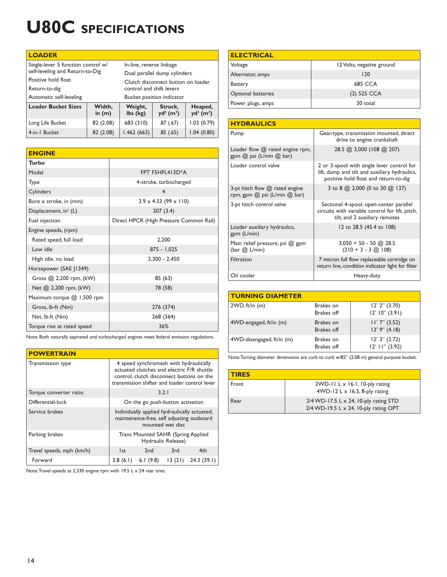# **U80C SPECIFICATIONS**

| <b>LOADER</b>                                    |                                    |                     |                                     |                                     |
|--------------------------------------------------|------------------------------------|---------------------|-------------------------------------|-------------------------------------|
| Single-lever 5 function control w/               | In-line, reverse linkage           |                     |                                     |                                     |
| self-leveling and Return-to-Dig                  | Dual parallel dump cylinders       |                     |                                     |                                     |
| Positive hold float                              | Clutch disconnect button on loader |                     |                                     |                                     |
| Return-to-dig                                    | control and shift levers           |                     |                                     |                                     |
| Automatic self-leveling                          | Bucket position indicator          |                     |                                     |                                     |
| <b>Loader Bucket Sizes</b><br>Width,<br>in $(m)$ |                                    | Weight,<br>lbs (kg) | Struck,<br>$yd^3$ (m <sup>3</sup> ) | Heaped,<br>$yd^3$ (m <sup>3</sup> ) |
| Long Life Bucket                                 | 82 (2.08)                          | 683 (310)           | .87(.67)                            | 1.03(0.79)                          |
| 82 (2.08)<br>4-in-1 Bucket                       |                                    | 1,462(663)          | .85(.65)                            | 1.04(0.80)                          |

| <b>ENGINE</b>                     |                                         |  |  |
|-----------------------------------|-----------------------------------------|--|--|
| <b>Turbo</b>                      |                                         |  |  |
| Model                             | FPT F5HFL413D*A                         |  |  |
| Type                              | 4-stroke, turbocharged                  |  |  |
| Cylinders                         | $\overline{4}$                          |  |  |
| Bore x stroke, in (mm)            | $3.9 \times 4.33$ (99 $\times$ 110)     |  |  |
| Displacement, in <sup>3</sup> (L) | 207(3.4)                                |  |  |
| Fuel injection                    | Direct HPCR (High Pressure Common Rail) |  |  |
| Engine speeds, (rpm)              |                                         |  |  |
| Rated speed, full load            | 2.200                                   |  |  |
| Low idle                          | $875 - 1,025$                           |  |  |
| High idle, no load                | $2,300 - 2,450$                         |  |  |
| Horsepower (SAE J1349)            |                                         |  |  |
| Gross @ 2,200 rpm, (kW)           | 85 (63)                                 |  |  |
| Net @ 2,200 rpm, (kW)             | 78 (58)                                 |  |  |
| Maximum torque @ 1,500 rpm        |                                         |  |  |
| Gross, lb-ft (Nm)                 | 276 (374)                               |  |  |
| Net, lb-ft (Nm)                   | 268 (364)                               |  |  |
| Torque rise at rated speed        | 36%                                     |  |  |

Note: Both naturally aspirated and turbocharged engines meet federal emission regulations.

#### **POWERTRAIN**

| Transmission type         | 4 speed synchromesh with hydraulically<br>actuated clutches and electric F/R shuttle<br>control, clutch disconnect buttons on the<br>transmission shifter and loader control lever |                                    |                    |            |  |
|---------------------------|------------------------------------------------------------------------------------------------------------------------------------------------------------------------------------|------------------------------------|--------------------|------------|--|
| Torque converter ratio    | 3.2:1                                                                                                                                                                              |                                    |                    |            |  |
| Differential-lock         | On the go push-button activation                                                                                                                                                   |                                    |                    |            |  |
| Service brakes            | Individually applied hydraulically actuated,<br>maintenance-free, self adjusting outboard<br>mounted wet disc                                                                      |                                    |                    |            |  |
| Parking brakes            |                                                                                                                                                                                    | Trans Mounted SAHR (Spring Applied | Hydraulic Release) |            |  |
| Travel speeds, mph (km/h) | l st                                                                                                                                                                               | 2 <sub>nd</sub>                    | 3rd                | 4th        |  |
| Forward                   | 3.8(6.1)                                                                                                                                                                           | 6.1 $(9.8)$                        | 13(21)             | 24.3(39.1) |  |

Note: Travel speeds at 2,330 engine rpm with 19.5 L x 24 rear tires.

| <b>ELECTRICAL</b>         |                           |  |
|---------------------------|---------------------------|--|
| Voltage                   | 12 Volts, negative ground |  |
| Alternator, amps          | 120                       |  |
| Battery                   | <b>685 CCA</b>            |  |
| <b>Optional batteries</b> | $(2)$ 525 CCA             |  |
| Power plugs, amps         | 30 total                  |  |

| <b>HYDRAULICS</b>                                                        |                                                                                                                                      |  |  |
|--------------------------------------------------------------------------|--------------------------------------------------------------------------------------------------------------------------------------|--|--|
| Pump                                                                     | Gear-type, transmission mounted, direct<br>drive to engine crankshaft                                                                |  |  |
| Loader flow @ rated engine rpm,<br>gpm @ psi (L/min @ bar)               | 28.5 @ 3,000 (108 @ 207)                                                                                                             |  |  |
| Loader control valve                                                     | 2 or 3-spool with single lever control for<br>lift, dump and tilt and auxiliary hydraulics,<br>positive hold float and return-to-dig |  |  |
| 3-pt hitch flow $@$ rated engine<br>rpm, gpm $(2)$ psi (L/min $(2)$ bar) | 3 to 8 @ 2,000 (0 to 30 @ 137)                                                                                                       |  |  |
| 3-pt hitch control valve                                                 | Sectional 4-spool, open-center parallel<br>circuits with variable control for lift, pitch,<br>tilt, and 2 auxiliary remotes          |  |  |
| Loader auxiliary hydraulics,<br>gpm (L/min)                              | 12 to 28.5 (45.4 to 108)                                                                                                             |  |  |
| Main relief pressure, psi @ gpm<br>(bar $@$ L/min)                       | $3,050 + 50 - 50$ @ 28.5<br>$(210 + 3 - 3)$ (Q) 108)                                                                                 |  |  |
| Filtration                                                               | 7 micron full flow replaceable cartridge on<br>return line, condition indicator light for filter                                     |  |  |
| Oil cooler                                                               | Heavy-duty                                                                                                                           |  |  |

| <b>TURNING DIAMETER</b>   |                                |                                            |
|---------------------------|--------------------------------|--------------------------------------------|
| 2WD, ft/in (m)            | Brakes on<br>Brakes off        | $12'$ $2''$ $(3.70)$<br>$12'$ 10" (3.91)   |
| 4WD-engaged, ft/in (m)    | Brakes on<br><b>Brakes</b> off | $11'7''$ (3.52)<br>$13'$ 9" $(4.18)$       |
| 4WD-disengaged, ft/in (m) | Brakes on<br><b>Brakes off</b> | $12'$ 3" $(3.72)$<br>$12'$ $11''$ $(3.92)$ |

Note: Turning diameter dimensions are curb to curb w/82" (2.08 m) general purpose bucket.

| <b>TIRES</b> |                                                                                                  |
|--------------|--------------------------------------------------------------------------------------------------|
| Front        | $2WD-11$ L x 16.1, 10-ply rating<br>4WD-12 L $\times$ 16.5, 8-ply rating                         |
| Rear         | $2/4$ WD-17.5 L $\times$ 24, 10-ply rating STD<br>$2/4$ WD-19.5 L $\times$ 24, 10-ply rating OPT |

14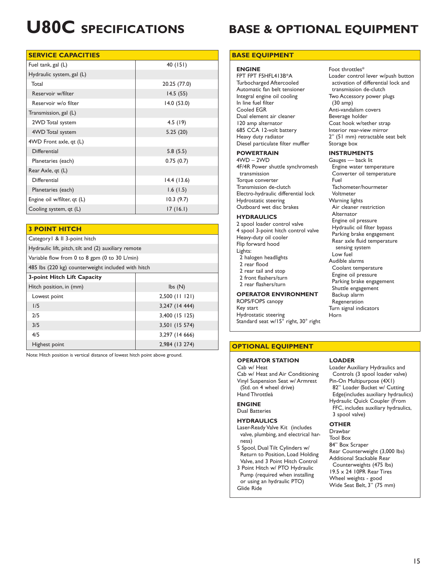#### **SERVICE CAPACITIES**

| Fuel tank, gal (L)          | 40 (151)     |
|-----------------------------|--------------|
| Hydraulic system, gal (L)   |              |
| Total                       | 20.25 (77.0) |
| Reservoir w/filter          | 14.5(55)     |
| Reservoir w/o filter        | 14.0(53.0)   |
| Transmission, gal (L)       |              |
| 2WD Total system            | 4.5(19)      |
| 4WD Total system            | 5.25(20)     |
| 4WD Front axle, qt (L)      |              |
| Differential                | 5.8(5.5)     |
| Planetaries (each)          | 0.75(0.7)    |
| Rear Axle, qt (L)           |              |
| Differential                | 14.4(13.6)   |
| Planetaries (each)          | 1.6(1.5)     |
| Engine oil w/filter, qt (L) | 10.3(9.7)    |
| Cooling system, qt (L)      | 17(16.1)     |

#### **3 POINT HITCH**

| Category   &    3-point hitch                        |                            |  |  |
|------------------------------------------------------|----------------------------|--|--|
| Hydraulic lift, pitch, tilt and (2) auxiliary remote |                            |  |  |
| Variable flow from 0 to 8 gpm (0 to 30 L/min)        |                            |  |  |
| 485 lbs (220 kg) counterweight included with hitch   |                            |  |  |
| 3-point Hitch Lift Capacity                          |                            |  |  |
| Hitch position, in (mm)                              | $\mathsf{lbs}(\mathsf{N})$ |  |  |
| Lowest point                                         | $2,500$ (11 121)           |  |  |
| 1/5                                                  | 3,247 (14 444)             |  |  |
| 2/5                                                  | 3,400 (15 125)             |  |  |
| 3/5                                                  | 3,501 (15 574)             |  |  |
| 4/5                                                  | 3,297 (14 666)             |  |  |
| Highest point                                        | 2,984 (13 274)             |  |  |

Note: Hitch position is vertical distance of lowest hitch point above ground.

# **U80C SPECIFICATIONS BASE & OPTIONAL EQUIPMENT**

#### **BASE EQUIPMENT**

#### **ENGINE**

FPT FPT F5HFL413B\*A Turbocharged Aftercooled Automatic fan belt tensioner Integral engine oil cooling In line fuel filter Cooled EGR Dual element air cleaner 120 amp alternator 685 CCA 12-volt battery Heavy duty radiator Diesel particulate filter muffler

#### **POWERTRAIN**

4WD – 2WD 4F/4R Power shuttle synchromesh transmission Torque converter Transmission de-clutch Electro-hydraulic differential lock Hydrostatic steering Outboard wet disc brakes

#### **HYDRAULICS**

2 spool loader control valve 4 spool 3-point hitch control valve Heavy-duty oil cooler Flip forward hood Lights: 2 halogen headlights 2 rear flood

- 
- 2 rear tail and stop 2 front flashers/turn
- 2 rear flashers/turn

#### **OPERATOR ENVIRONMENT**

ROPS/FOPS canopy Key start Hydrostatic steering Standard seat w/15° right, 30° right

### **OPTIONAL EQUIPMENT**

#### **OPERATOR STATION**

Cab w/ Heat Cab w/ Heat and Air Conditioning Vinyl Suspension Seat w/ Armrest (Std. on 4 wheel drive) Hand Throttleå

#### **ENGINE**

Dual Batteries

#### **HYDRAULICS**

- Laser-Ready Valve Kit (includes valve, plumbing, and electrical harness)
- 5 Spool, Dual Tilt Cylinders w/ Return to Position, Load Holding Valve, and 3 Point Hitch Control
- 3 Point Hitch w/ PTO Hydraulic Pump (required when installing or using an hydraulic PTO) Glide Ride

#### Foot throttles\* Loader control lever w/push button activation of differential lock and transmission de-clutch Two Accessory power plugs (30 amp) Anti-vandalism covers Beverage holder Coat hook w/tether strap Interior rear-view mirror 2" (51 mm) retractable seat belt Storage box

#### **INSTRUMENTS**

Gauges — back lit Engine water temperature Converter oil temperature Fuel Tachometer/hourmeter Voltmeter Warning lights Air cleaner restriction Alternator Engine oil pressure Hydraulic oil filter bypass Parking brake engagement Rear axle fluid temperature sensing system Low fuel Audible alarms Coolant temperature Engine oil pressure Parking brake engagement Shuttle engagement Backup alarm Regeneration Turn signal indicators Horn

### **LOADER**

Loader Auxiliary Hydraulics and Controls (3 spool loader valve) Pin-On Multipurpose (4X1) 82" Loader Bucket w/ Cutting Edge(includes auxiliary hydraulics) Hydraulic Quick Coupler (From FFC, includes auxiliary hydraulics, 3 spool valve)

#### **OTHER**

Drawbar Tool Box 84" Box Scraper Rear Counterweight (3,000 lbs) Additional Stackable Rear Counterweights (475 lbs) 19.5 x 24 10PR Rear Tires Wheel weights - good Wide Seat Belt, 3" (75 mm)